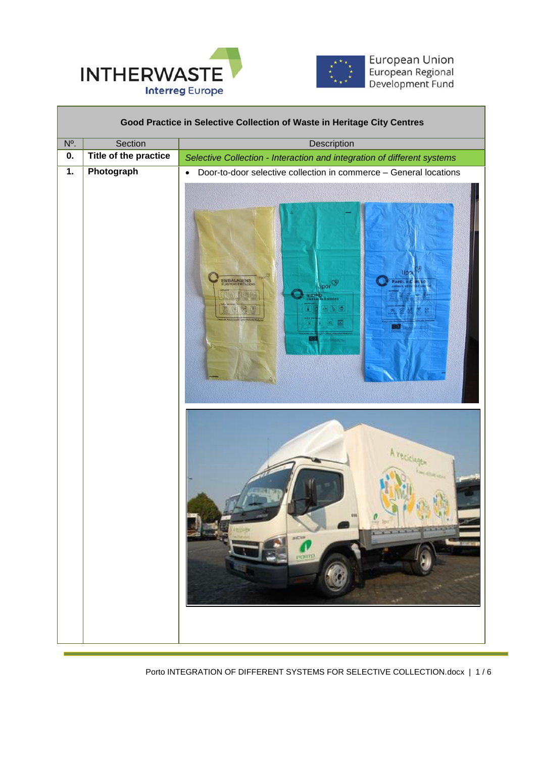



| Good Practice in Selective Collection of Waste in Heritage City Centres |                       |                                                                                                                                                                     |  |  |
|-------------------------------------------------------------------------|-----------------------|---------------------------------------------------------------------------------------------------------------------------------------------------------------------|--|--|
| $N^{\circ}$ .                                                           | Section               | <b>Description</b>                                                                                                                                                  |  |  |
| 0.                                                                      | Title of the practice | Selective Collection - Interaction and integration of different systems                                                                                             |  |  |
| $\overline{1}$ .                                                        | Photograph            | Door-to-door selective collection in commerce - General locations<br>$\bullet$<br>lips<br>EMBALAGENS<br>APEL<br>por <sup>ce</sup><br>VIDRO<br>$\mathbb{R}$ (b)<br>国 |  |  |
|                                                                         |                       | A reciciage<br>0.037<br><b>NORTH</b>                                                                                                                                |  |  |

 $\overline{a}$ 

Porto INTEGRATION OF DIFFERENT SYSTEMS FOR SELECTIVE COLLECTION.docx | 1 / 6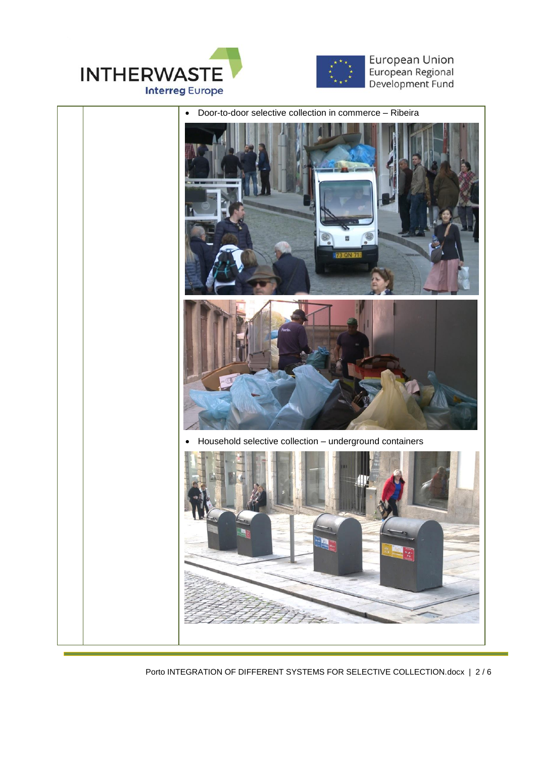





Porto INTEGRATION OF DIFFERENT SYSTEMS FOR SELECTIVE COLLECTION.docx | 2 / 6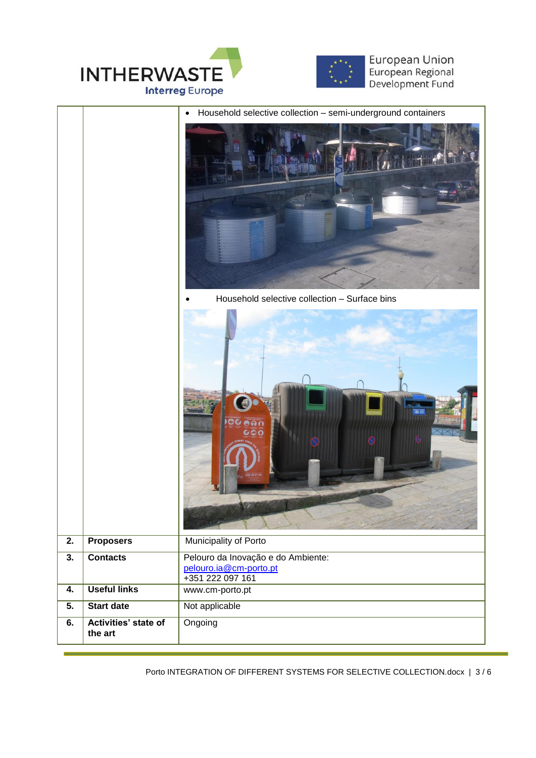



|                  |                                 | Household selective collection - semi-underground containers<br>$\bullet$        |
|------------------|---------------------------------|----------------------------------------------------------------------------------|
|                  |                                 | Household selective collection - Surface bins                                    |
|                  |                                 | # 0                                                                              |
| $\overline{2}$ . | <b>Proposers</b>                | Municipality of Porto                                                            |
| $\overline{3}$ . | <b>Contacts</b>                 | Pelouro da Inovação e do Ambiente:<br>pelouro.ia@cm-porto.pt<br>+351 222 097 161 |
| 4.               | <b>Useful links</b>             | www.cm-porto.pt                                                                  |
| 5.               | <b>Start date</b>               | Not applicable                                                                   |
| 6.               | Activities' state of<br>the art | Ongoing                                                                          |

Porto INTEGRATION OF DIFFERENT SYSTEMS FOR SELECTIVE COLLECTION.docx | 3 / 6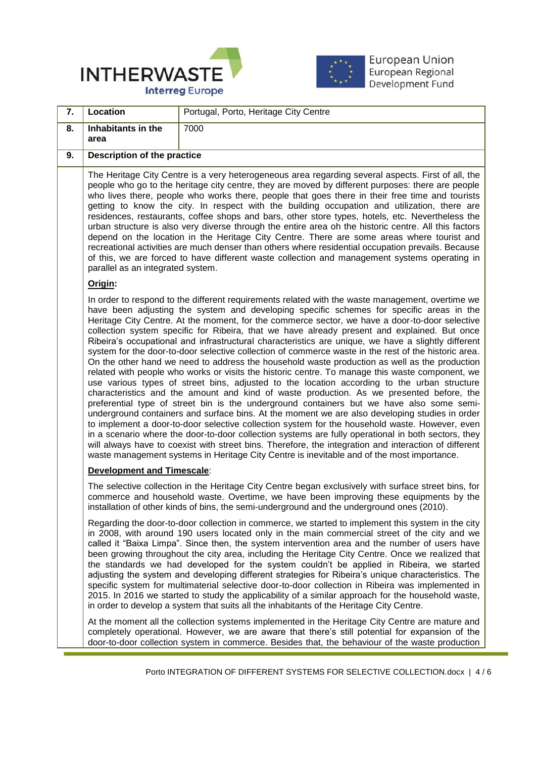



| 7.                                | Location                                                                                                                                                                                                                                                                                                                                                                                                                                                                                                                                                                                                                                                                                                                                                                                                                                                                                                                                                                                                                                                                                                                                                                                                                                                                                                                                                                                                                                                                                                                                                                                                                    | Portugal, Porto, Heritage City Centre                                                                                                                                                                                                                                                                                                                                                                                                                                                                                                                                                                                                                                                                                                                                                                                                                                                                             |
|-----------------------------------|-----------------------------------------------------------------------------------------------------------------------------------------------------------------------------------------------------------------------------------------------------------------------------------------------------------------------------------------------------------------------------------------------------------------------------------------------------------------------------------------------------------------------------------------------------------------------------------------------------------------------------------------------------------------------------------------------------------------------------------------------------------------------------------------------------------------------------------------------------------------------------------------------------------------------------------------------------------------------------------------------------------------------------------------------------------------------------------------------------------------------------------------------------------------------------------------------------------------------------------------------------------------------------------------------------------------------------------------------------------------------------------------------------------------------------------------------------------------------------------------------------------------------------------------------------------------------------------------------------------------------------|-------------------------------------------------------------------------------------------------------------------------------------------------------------------------------------------------------------------------------------------------------------------------------------------------------------------------------------------------------------------------------------------------------------------------------------------------------------------------------------------------------------------------------------------------------------------------------------------------------------------------------------------------------------------------------------------------------------------------------------------------------------------------------------------------------------------------------------------------------------------------------------------------------------------|
| 8.                                | Inhabitants in the<br>area                                                                                                                                                                                                                                                                                                                                                                                                                                                                                                                                                                                                                                                                                                                                                                                                                                                                                                                                                                                                                                                                                                                                                                                                                                                                                                                                                                                                                                                                                                                                                                                                  | 7000                                                                                                                                                                                                                                                                                                                                                                                                                                                                                                                                                                                                                                                                                                                                                                                                                                                                                                              |
| 9.                                | Description of the practice                                                                                                                                                                                                                                                                                                                                                                                                                                                                                                                                                                                                                                                                                                                                                                                                                                                                                                                                                                                                                                                                                                                                                                                                                                                                                                                                                                                                                                                                                                                                                                                                 |                                                                                                                                                                                                                                                                                                                                                                                                                                                                                                                                                                                                                                                                                                                                                                                                                                                                                                                   |
|                                   | The Heritage City Centre is a very heterogeneous area regarding several aspects. First of all, the<br>people who go to the heritage city centre, they are moved by different purposes: there are people<br>who lives there, people who works there, people that goes there in their free time and tourists<br>getting to know the city. In respect with the building occupation and utilization, there are<br>residences, restaurants, coffee shops and bars, other store types, hotels, etc. Nevertheless the<br>urban structure is also very diverse through the entire area oh the historic centre. All this factors<br>depend on the location in the Heritage City Centre. There are some areas where tourist and<br>recreational activities are much denser than others where residential occupation prevails. Because<br>of this, we are forced to have different waste collection and management systems operating in<br>parallel as an integrated system.                                                                                                                                                                                                                                                                                                                                                                                                                                                                                                                                                                                                                                                           |                                                                                                                                                                                                                                                                                                                                                                                                                                                                                                                                                                                                                                                                                                                                                                                                                                                                                                                   |
| Origin:                           |                                                                                                                                                                                                                                                                                                                                                                                                                                                                                                                                                                                                                                                                                                                                                                                                                                                                                                                                                                                                                                                                                                                                                                                                                                                                                                                                                                                                                                                                                                                                                                                                                             |                                                                                                                                                                                                                                                                                                                                                                                                                                                                                                                                                                                                                                                                                                                                                                                                                                                                                                                   |
|                                   | In order to respond to the different requirements related with the waste management, overtime we<br>have been adjusting the system and developing specific schemes for specific areas in the<br>Heritage City Centre. At the moment, for the commerce sector, we have a door-to-door selective<br>collection system specific for Ribeira, that we have already present and explained. But once<br>Ribeira's occupational and infrastructural characteristics are unique, we have a slightly different<br>system for the door-to-door selective collection of commerce waste in the rest of the historic area.<br>On the other hand we need to address the household waste production as well as the production<br>related with people who works or visits the historic centre. To manage this waste component, we<br>use various types of street bins, adjusted to the location according to the urban structure<br>characteristics and the amount and kind of waste production. As we presented before, the<br>preferential type of street bin is the underground containers but we have also some semi-<br>underground containers and surface bins. At the moment we are also developing studies in order<br>to implement a door-to-door selective collection system for the household waste. However, even<br>in a scenario where the door-to-door collection systems are fully operational in both sectors, they<br>will always have to coexist with street bins. Therefore, the integration and interaction of different<br>waste management systems in Heritage City Centre is inevitable and of the most importance. |                                                                                                                                                                                                                                                                                                                                                                                                                                                                                                                                                                                                                                                                                                                                                                                                                                                                                                                   |
| <b>Development and Timescale:</b> |                                                                                                                                                                                                                                                                                                                                                                                                                                                                                                                                                                                                                                                                                                                                                                                                                                                                                                                                                                                                                                                                                                                                                                                                                                                                                                                                                                                                                                                                                                                                                                                                                             |                                                                                                                                                                                                                                                                                                                                                                                                                                                                                                                                                                                                                                                                                                                                                                                                                                                                                                                   |
|                                   |                                                                                                                                                                                                                                                                                                                                                                                                                                                                                                                                                                                                                                                                                                                                                                                                                                                                                                                                                                                                                                                                                                                                                                                                                                                                                                                                                                                                                                                                                                                                                                                                                             | The selective collection in the Heritage City Centre began exclusively with surface street bins, for<br>commerce and household waste. Overtime, we have been improving these equipments by the<br>installation of other kinds of bins, the semi-underground and the underground ones (2010).                                                                                                                                                                                                                                                                                                                                                                                                                                                                                                                                                                                                                      |
|                                   |                                                                                                                                                                                                                                                                                                                                                                                                                                                                                                                                                                                                                                                                                                                                                                                                                                                                                                                                                                                                                                                                                                                                                                                                                                                                                                                                                                                                                                                                                                                                                                                                                             | Regarding the door-to-door collection in commerce, we started to implement this system in the city<br>in 2008, with around 190 users located only in the main commercial street of the city and we<br>called it "Baixa Limpa". Since then, the system intervention area and the number of users have<br>been growing throughout the city area, including the Heritage City Centre. Once we realized that<br>the standards we had developed for the system couldn't be applied in Ribeira, we started<br>adjusting the system and developing different strategies for Ribeira's unique characteristics. The<br>specific system for multimaterial selective door-to-door collection in Ribeira was implemented in<br>2015. In 2016 we started to study the applicability of a similar approach for the household waste,<br>in order to develop a system that suits all the inhabitants of the Heritage City Centre. |
|                                   |                                                                                                                                                                                                                                                                                                                                                                                                                                                                                                                                                                                                                                                                                                                                                                                                                                                                                                                                                                                                                                                                                                                                                                                                                                                                                                                                                                                                                                                                                                                                                                                                                             | At the moment all the collection systems implemented in the Heritage City Centre are mature and<br>completely operational. However, we are aware that there's still potential for expansion of the<br>door-to-door collection system in commerce. Besides that, the behaviour of the waste production                                                                                                                                                                                                                                                                                                                                                                                                                                                                                                                                                                                                             |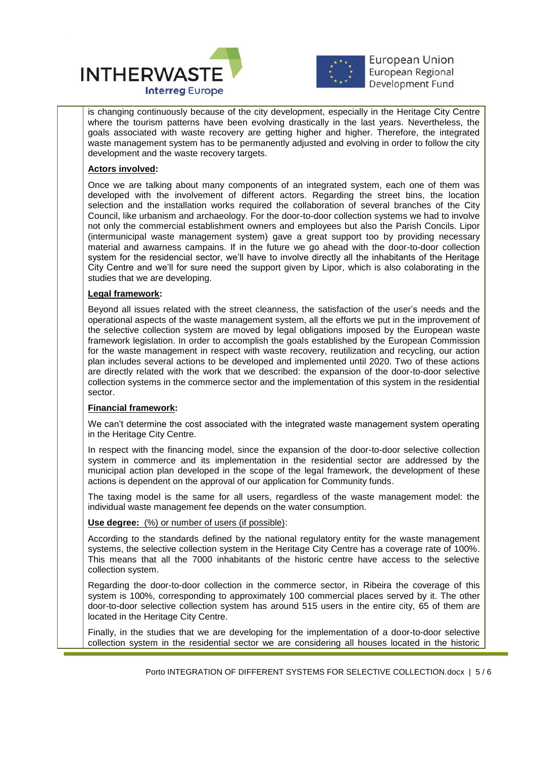



 $\overline{a}$ is changing continuously because of the city development, especially in the Heritage City Centre where the tourism patterns have been evolving drastically in the last years. Nevertheless, the goals associated with waste recovery are getting higher and higher. Therefore, the integrated waste management system has to be permanently adjusted and evolving in order to follow the city development and the waste recovery targets.

## **Actors involved:**

Once we are talking about many components of an integrated system, each one of them was developed with the involvement of different actors. Regarding the street bins, the location selection and the installation works required the collaboration of several branches of the City Council, like urbanism and archaeology. For the door-to-door collection systems we had to involve not only the commercial establishment owners and employees but also the Parish Concils. Lipor (intermunicipal waste management system) gave a great support too by providing necessary material and awarness campains. If in the future we go ahead with the door-to-door collection system for the residencial sector, we'll have to involve directly all the inhabitants of the Heritage City Centre and we'll for sure need the support given by Lipor, which is also colaborating in the studies that we are developing.

## **Legal framework:**

Beyond all issues related with the street cleanness, the satisfaction of the user's needs and the operational aspects of the waste management system, all the efforts we put in the improvement of the selective collection system are moved by legal obligations imposed by the European waste framework legislation. In order to accomplish the goals established by the European Commission for the waste management in respect with waste recovery, reutilization and recycling, our action plan includes several actions to be developed and implemented until 2020. Two of these actions are directly related with the work that we described: the expansion of the door-to-door selective collection systems in the commerce sector and the implementation of this system in the residential sector.

## **Financial framework:**

We can't determine the cost associated with the integrated waste management system operating in the Heritage City Centre.

In respect with the financing model, since the expansion of the door-to-door selective collection system in commerce and its implementation in the residential sector are addressed by the municipal action plan developed in the scope of the legal framework, the development of these actions is dependent on the approval of our application for Community funds.

The taxing model is the same for all users, regardless of the waste management model: the individual waste management fee depends on the water consumption.

## **Use degree:** (%) or number of users (if possible):

According to the standards defined by the national regulatory entity for the waste management systems, the selective collection system in the Heritage City Centre has a coverage rate of 100%. This means that all the 7000 inhabitants of the historic centre have access to the selective collection system.

Regarding the door-to-door collection in the commerce sector, in Ribeira the coverage of this system is 100%, corresponding to approximately 100 commercial places served by it. The other door-to-door selective collection system has around 515 users in the entire city, 65 of them are located in the Heritage City Centre.

Finally, in the studies that we are developing for the implementation of a door-to-door selective collection system in the residential sector we are considering all houses located in the historic